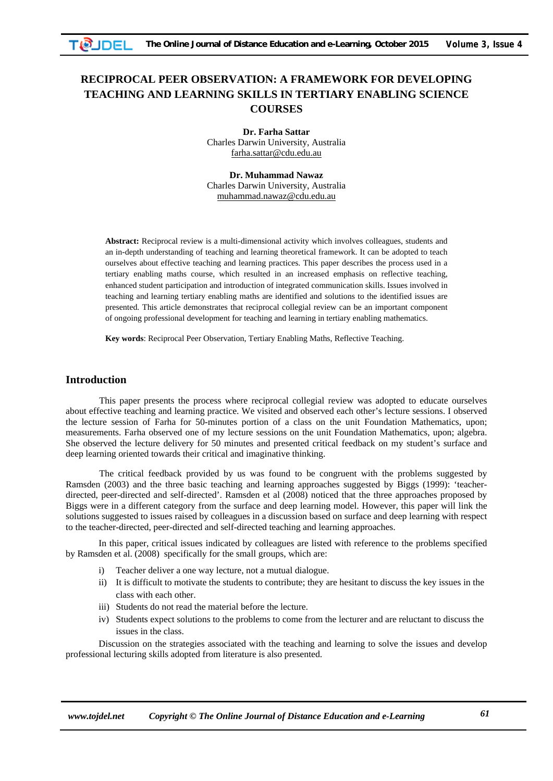# **RECIPROCAL PEER OBSERVATION: A FRAMEWORK FOR DEVELOPING TEACHING AND LEARNING SKILLS IN TERTIARY ENABLING SCIENCE COURSES**

**Dr. Farha Sattar**  Charles Darwin University, Australia farha.sattar@cdu.edu.au

**Dr. Muhammad Nawaz**  Charles Darwin University, Australia muhammad.nawaz@cdu.edu.au

**Abstract:** Reciprocal review is a multi-dimensional activity which involves colleagues, students and an in-depth understanding of teaching and learning theoretical framework. It can be adopted to teach ourselves about effective teaching and learning practices. This paper describes the process used in a tertiary enabling maths course, which resulted in an increased emphasis on reflective teaching, enhanced student participation and introduction of integrated communication skills. Issues involved in teaching and learning tertiary enabling maths are identified and solutions to the identified issues are presented. This article demonstrates that reciprocal collegial review can be an important component of ongoing professional development for teaching and learning in tertiary enabling mathematics.

**Key words**: Reciprocal Peer Observation, Tertiary Enabling Maths, Reflective Teaching.

# **Introduction**

This paper presents the process where reciprocal collegial review was adopted to educate ourselves about effective teaching and learning practice. We visited and observed each other's lecture sessions. I observed the lecture session of Farha for 50-minutes portion of a class on the unit Foundation Mathematics, upon; measurements. Farha observed one of my lecture sessions on the unit Foundation Mathematics, upon; algebra. She observed the lecture delivery for 50 minutes and presented critical feedback on my student's surface and deep learning oriented towards their critical and imaginative thinking.

The critical feedback provided by us was found to be congruent with the problems suggested by Ramsden (2003) and the three basic teaching and learning approaches suggested by Biggs (1999): 'teacherdirected, peer-directed and self-directed'. Ramsden et al (2008) noticed that the three approaches proposed by Biggs were in a different category from the surface and deep learning model. However, this paper will link the solutions suggested to issues raised by colleagues in a discussion based on surface and deep learning with respect to the teacher-directed, peer-directed and self-directed teaching and learning approaches.

In this paper, critical issues indicated by colleagues are listed with reference to the problems specified by Ramsden et al. (2008) specifically for the small groups, which are:

- i) Teacher deliver a one way lecture, not a mutual dialogue.
- ii) It is difficult to motivate the students to contribute; they are hesitant to discuss the key issues in the class with each other.
- iii) Students do not read the material before the lecture.
- iv) Students expect solutions to the problems to come from the lecturer and are reluctant to discuss the issues in the class.

Discussion on the strategies associated with the teaching and learning to solve the issues and develop professional lecturing skills adopted from literature is also presented.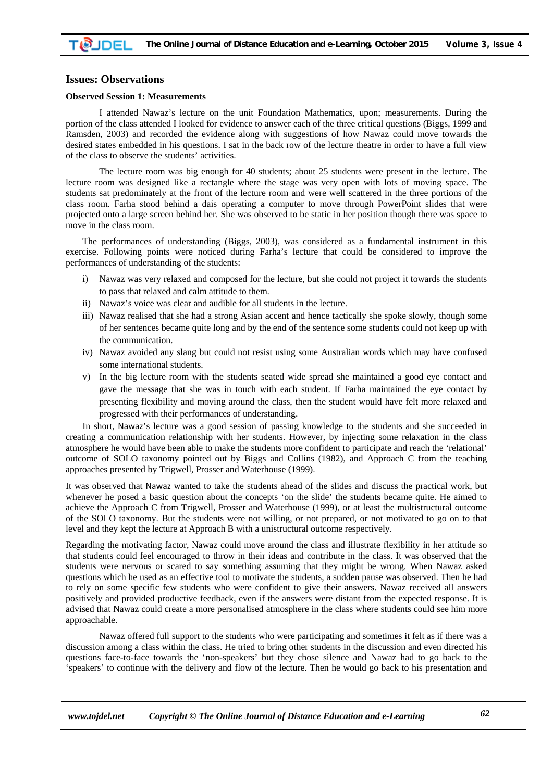## **Issues: Observations**

## **Observed Session 1: Measurements**

I attended Nawaz's lecture on the unit Foundation Mathematics, upon; measurements. During the portion of the class attended I looked for evidence to answer each of the three critical questions (Biggs, 1999 and Ramsden, 2003) and recorded the evidence along with suggestions of how Nawaz could move towards the desired states embedded in his questions. I sat in the back row of the lecture theatre in order to have a full view of the class to observe the students' activities.

The lecture room was big enough for 40 students; about 25 students were present in the lecture. The lecture room was designed like a rectangle where the stage was very open with lots of moving space. The students sat predominately at the front of the lecture room and were well scattered in the three portions of the class room. Farha stood behind a dais operating a computer to move through PowerPoint slides that were projected onto a large screen behind her. She was observed to be static in her position though there was space to move in the class room.

The performances of understanding (Biggs, 2003), was considered as a fundamental instrument in this exercise. Following points were noticed during Farha's lecture that could be considered to improve the performances of understanding of the students:

- i) Nawaz was very relaxed and composed for the lecture, but she could not project it towards the students to pass that relaxed and calm attitude to them.
- ii) Nawaz's voice was clear and audible for all students in the lecture.
- iii) Nawaz realised that she had a strong Asian accent and hence tactically she spoke slowly, though some of her sentences became quite long and by the end of the sentence some students could not keep up with the communication.
- iv) Nawaz avoided any slang but could not resist using some Australian words which may have confused some international students.
- v) In the big lecture room with the students seated wide spread she maintained a good eye contact and gave the message that she was in touch with each student. If Farha maintained the eye contact by presenting flexibility and moving around the class, then the student would have felt more relaxed and progressed with their performances of understanding.

In short, Nawaz's lecture was a good session of passing knowledge to the students and she succeeded in creating a communication relationship with her students. However, by injecting some relaxation in the class atmosphere he would have been able to make the students more confident to participate and reach the 'relational' outcome of SOLO taxonomy pointed out by Biggs and Collins (1982), and Approach C from the teaching approaches presented by Trigwell, Prosser and Waterhouse (1999).

It was observed that Nawaz wanted to take the students ahead of the slides and discuss the practical work, but whenever he posed a basic question about the concepts 'on the slide' the students became quite. He aimed to achieve the Approach C from Trigwell, Prosser and Waterhouse (1999), or at least the multistructural outcome of the SOLO taxonomy. But the students were not willing, or not prepared, or not motivated to go on to that level and they kept the lecture at Approach B with a unistructural outcome respectively.

Regarding the motivating factor, Nawaz could move around the class and illustrate flexibility in her attitude so that students could feel encouraged to throw in their ideas and contribute in the class. It was observed that the students were nervous or scared to say something assuming that they might be wrong. When Nawaz asked questions which he used as an effective tool to motivate the students, a sudden pause was observed. Then he had to rely on some specific few students who were confident to give their answers. Nawaz received all answers positively and provided productive feedback, even if the answers were distant from the expected response. It is advised that Nawaz could create a more personalised atmosphere in the class where students could see him more approachable.

Nawaz offered full support to the students who were participating and sometimes it felt as if there was a discussion among a class within the class. He tried to bring other students in the discussion and even directed his questions face-to-face towards the 'non-speakers' but they chose silence and Nawaz had to go back to the 'speakers' to continue with the delivery and flow of the lecture. Then he would go back to his presentation and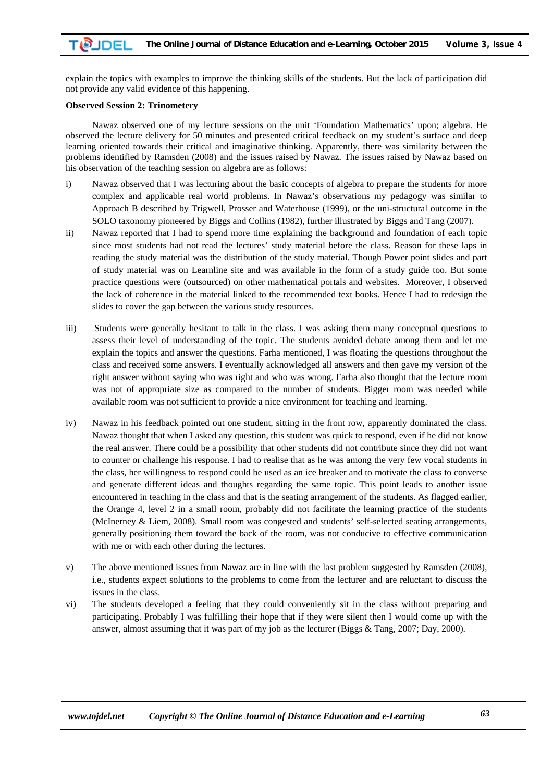explain the topics with examples to improve the thinking skills of the students. But the lack of participation did not provide any valid evidence of this happening.

#### **Observed Session 2: Trinometery**

Nawaz observed one of my lecture sessions on the unit 'Foundation Mathematics' upon; algebra. He observed the lecture delivery for 50 minutes and presented critical feedback on my student's surface and deep learning oriented towards their critical and imaginative thinking. Apparently, there was similarity between the problems identified by Ramsden (2008) and the issues raised by Nawaz. The issues raised by Nawaz based on his observation of the teaching session on algebra are as follows:

- i) Nawaz observed that I was lecturing about the basic concepts of algebra to prepare the students for more complex and applicable real world problems. In Nawaz's observations my pedagogy was similar to Approach B described by Trigwell, Prosser and Waterhouse (1999), or the uni-structural outcome in the SOLO taxonomy pioneered by Biggs and Collins (1982), further illustrated by Biggs and Tang (2007).
- ii) Nawaz reported that I had to spend more time explaining the background and foundation of each topic since most students had not read the lectures' study material before the class. Reason for these laps in reading the study material was the distribution of the study material. Though Power point slides and part of study material was on Learnline site and was available in the form of a study guide too. But some practice questions were (outsourced) on other mathematical portals and websites. Moreover, I observed the lack of coherence in the material linked to the recommended text books. Hence I had to redesign the slides to cover the gap between the various study resources.
- iii) Students were generally hesitant to talk in the class. I was asking them many conceptual questions to assess their level of understanding of the topic. The students avoided debate among them and let me explain the topics and answer the questions. Farha mentioned, I was floating the questions throughout the class and received some answers. I eventually acknowledged all answers and then gave my version of the right answer without saying who was right and who was wrong. Farha also thought that the lecture room was not of appropriate size as compared to the number of students. Bigger room was needed while available room was not sufficient to provide a nice environment for teaching and learning.
- iv) Nawaz in his feedback pointed out one student, sitting in the front row, apparently dominated the class. Nawaz thought that when I asked any question, this student was quick to respond, even if he did not know the real answer. There could be a possibility that other students did not contribute since they did not want to counter or challenge his response. I had to realise that as he was among the very few vocal students in the class, her willingness to respond could be used as an ice breaker and to motivate the class to converse and generate different ideas and thoughts regarding the same topic. This point leads to another issue encountered in teaching in the class and that is the seating arrangement of the students. As flagged earlier, the Orange 4, level 2 in a small room, probably did not facilitate the learning practice of the students (McInerney & Liem, 2008). Small room was congested and students' self-selected seating arrangements, generally positioning them toward the back of the room, was not conducive to effective communication with me or with each other during the lectures.
- v) The above mentioned issues from Nawaz are in line with the last problem suggested by Ramsden (2008), i.e., students expect solutions to the problems to come from the lecturer and are reluctant to discuss the issues in the class.
- vi) The students developed a feeling that they could conveniently sit in the class without preparing and participating. Probably I was fulfilling their hope that if they were silent then I would come up with the answer, almost assuming that it was part of my job as the lecturer (Biggs & Tang, 2007; Day, 2000).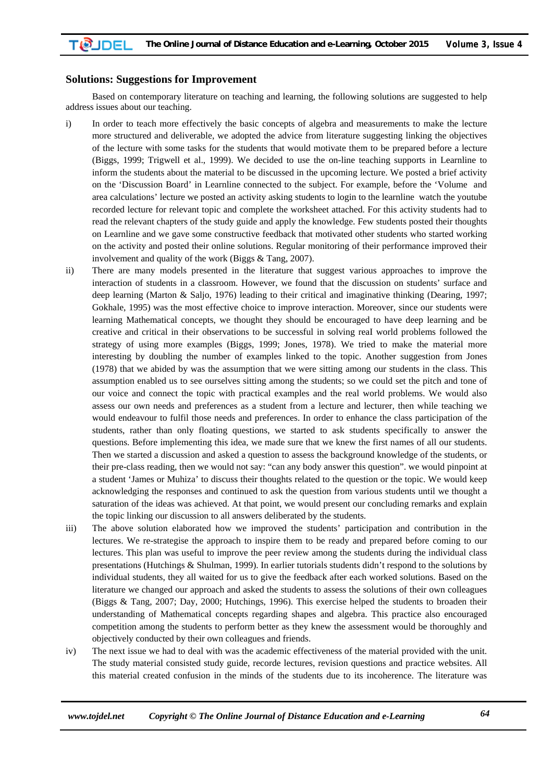### **Solutions: Suggestions for Improvement**

Based on contemporary literature on teaching and learning, the following solutions are suggested to help address issues about our teaching.

- i) In order to teach more effectively the basic concepts of algebra and measurements to make the lecture more structured and deliverable, we adopted the advice from literature suggesting linking the objectives of the lecture with some tasks for the students that would motivate them to be prepared before a lecture (Biggs, 1999; Trigwell et al., 1999). We decided to use the on-line teaching supports in Learnline to inform the students about the material to be discussed in the upcoming lecture. We posted a brief activity on the 'Discussion Board' in Learnline connected to the subject. For example, before the 'Volume and area calculations' lecture we posted an activity asking students to login to the learnline watch the youtube recorded lecture for relevant topic and complete the worksheet attached. For this activity students had to read the relevant chapters of the study guide and apply the knowledge. Few students posted their thoughts on Learnline and we gave some constructive feedback that motivated other students who started working on the activity and posted their online solutions. Regular monitoring of their performance improved their involvement and quality of the work (Biggs & Tang, 2007).
- ii) There are many models presented in the literature that suggest various approaches to improve the interaction of students in a classroom. However, we found that the discussion on students' surface and deep learning (Marton & Saljo, 1976) leading to their critical and imaginative thinking (Dearing, 1997; Gokhale, 1995) was the most effective choice to improve interaction. Moreover, since our students were learning Mathematical concepts, we thought they should be encouraged to have deep learning and be creative and critical in their observations to be successful in solving reaI world problems followed the strategy of using more examples (Biggs, 1999; Jones, 1978). We tried to make the material more interesting by doubling the number of examples linked to the topic. Another suggestion from Jones (1978) that we abided by was the assumption that we were sitting among our students in the class. This assumption enabled us to see ourselves sitting among the students; so we could set the pitch and tone of our voice and connect the topic with practical examples and the real world problems. We would also assess our own needs and preferences as a student from a lecture and lecturer, then while teaching we would endeavour to fulfil those needs and preferences. In order to enhance the class participation of the students, rather than only floating questions, we started to ask students specifically to answer the questions. Before implementing this idea, we made sure that we knew the first names of all our students. Then we started a discussion and asked a question to assess the background knowledge of the students, or their pre-class reading, then we would not say: "can any body answer this question". we would pinpoint at a student 'James or Muhiza' to discuss their thoughts related to the question or the topic. We would keep acknowledging the responses and continued to ask the question from various students until we thought a saturation of the ideas was achieved. At that point, we would present our concluding remarks and explain the topic linking our discussion to all answers deliberated by the students.
- iii) The above solution elaborated how we improved the students' participation and contribution in the lectures. We re-strategise the approach to inspire them to be ready and prepared before coming to our lectures. This plan was useful to improve the peer review among the students during the individual class presentations (Hutchings & Shulman, 1999). In earlier tutorials students didn't respond to the solutions by individual students, they all waited for us to give the feedback after each worked solutions. Based on the literature we changed our approach and asked the students to assess the solutions of their own colleagues (Biggs & Tang, 2007; Day, 2000; Hutchings, 1996). This exercise helped the students to broaden their understanding of Mathematical concepts regarding shapes and algebra. This practice also encouraged competition among the students to perform better as they knew the assessment would be thoroughly and objectively conducted by their own colleagues and friends.
- iv) The next issue we had to deal with was the academic effectiveness of the material provided with the unit. The study material consisted study guide, recorde lectures, revision questions and practice websites. All this material created confusion in the minds of the students due to its incoherence. The literature was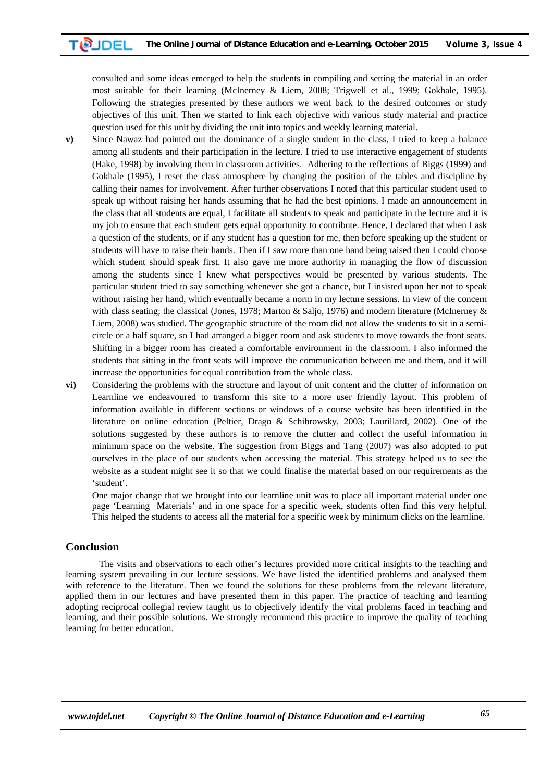consulted and some ideas emerged to help the students in compiling and setting the material in an order most suitable for their learning (McInerney & Liem, 2008; Trigwell et al., 1999; Gokhale, 1995). Following the strategies presented by these authors we went back to the desired outcomes or study objectives of this unit. Then we started to link each objective with various study material and practice question used for this unit by dividing the unit into topics and weekly learning material.

- **v**) Since Nawaz had pointed out the dominance of a single student in the class, I tried to keep a balance among all students and their participation in the lecture. I tried to use interactive engagement of students (Hake, 1998) by involving them in classroom activities. Adhering to the reflections of Biggs (1999) and Gokhale (1995), I reset the class atmosphere by changing the position of the tables and discipline by calling their names for involvement. After further observations I noted that this particular student used to speak up without raising her hands assuming that he had the best opinions. I made an announcement in the class that all students are equal, I facilitate all students to speak and participate in the lecture and it is my job to ensure that each student gets equal opportunity to contribute. Hence, I declared that when I ask a question of the students, or if any student has a question for me, then before speaking up the student or students will have to raise their hands. Then if I saw more than one hand being raised then I could choose which student should speak first. It also gave me more authority in managing the flow of discussion among the students since I knew what perspectives would be presented by various students. The particular student tried to say something whenever she got a chance, but I insisted upon her not to speak without raising her hand, which eventually became a norm in my lecture sessions. In view of the concern with class seating; the classical (Jones, 1978; Marton & Saljo, 1976) and modern literature (McInerney & Liem, 2008) was studied. The geographic structure of the room did not allow the students to sit in a semicircle or a half square, so I had arranged a bigger room and ask students to move towards the front seats. Shifting in a bigger room has created a comfortable environment in the classroom. I also informed the students that sitting in the front seats will improve the communication between me and them, and it will increase the opportunities for equal contribution from the whole class.
- **vi)** Considering the problems with the structure and layout of unit content and the clutter of information on Learnline we endeavoured to transform this site to a more user friendly layout. This problem of information available in different sections or windows of a course website has been identified in the literature on online education (Peltier, Drago & Schibrowsky, 2003; Laurillard, 2002). One of the solutions suggested by these authors is to remove the clutter and collect the useful information in minimum space on the website. The suggestion from Biggs and Tang (2007) was also adopted to put ourselves in the place of our students when accessing the material. This strategy helped us to see the website as a student might see it so that we could finalise the material based on our requirements as the 'student'.

One major change that we brought into our learnline unit was to place all important material under one page 'Learning Materials' and in one space for a specific week, students often find this very helpful. This helped the students to access all the material for a specific week by minimum clicks on the learnline.

# **Conclusion**

The visits and observations to each other's lectures provided more critical insights to the teaching and learning system prevailing in our lecture sessions. We have listed the identified problems and analysed them with reference to the literature. Then we found the solutions for these problems from the relevant literature, applied them in our lectures and have presented them in this paper. The practice of teaching and learning adopting reciprocal collegial review taught us to objectively identify the vital problems faced in teaching and learning, and their possible solutions. We strongly recommend this practice to improve the quality of teaching learning for better education.